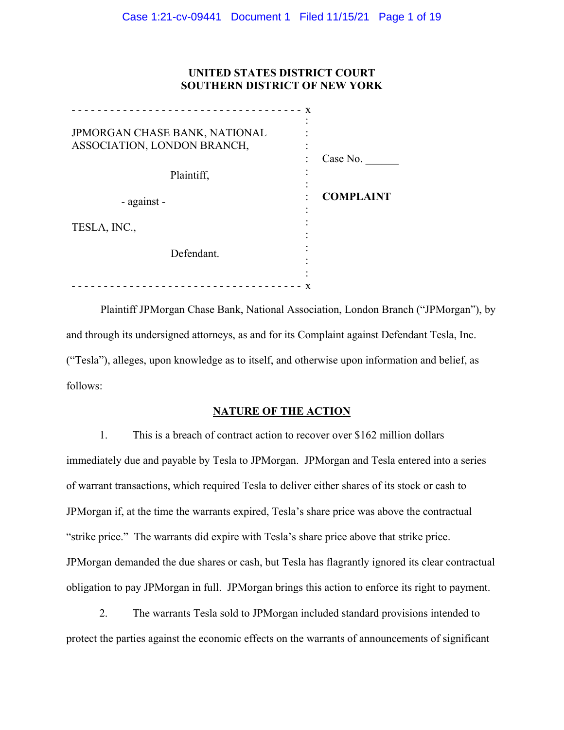## **UNITED STATES DISTRICT COURT SOUTHERN DISTRICT OF NEW YORK**

| X<br>JPMORGAN CHASE BANK, NATIONAL<br>ASSOCIATION, LONDON BRANCH, |                  |
|-------------------------------------------------------------------|------------------|
|                                                                   | Case No.         |
| Plaintiff,                                                        |                  |
| - against -                                                       | <b>COMPLAINT</b> |
| TESLA, INC.,                                                      |                  |
| Defendant.                                                        |                  |
| X                                                                 |                  |

Plaintiff JPMorgan Chase Bank, National Association, London Branch ("JPMorgan"), by and through its undersigned attorneys, as and for its Complaint against Defendant Tesla, Inc. ("Tesla"), alleges, upon knowledge as to itself, and otherwise upon information and belief, as follows:

## **NATURE OF THE ACTION**

1. This is a breach of contract action to recover over \$162 million dollars immediately due and payable by Tesla to JPMorgan. JPMorgan and Tesla entered into a series of warrant transactions, which required Tesla to deliver either shares of its stock or cash to JPMorgan if, at the time the warrants expired, Tesla's share price was above the contractual "strike price." The warrants did expire with Tesla's share price above that strike price. JPMorgan demanded the due shares or cash, but Tesla has flagrantly ignored its clear contractual obligation to pay JPMorgan in full. JPMorgan brings this action to enforce its right to payment.

2. The warrants Tesla sold to JPMorgan included standard provisions intended to protect the parties against the economic effects on the warrants of announcements of significant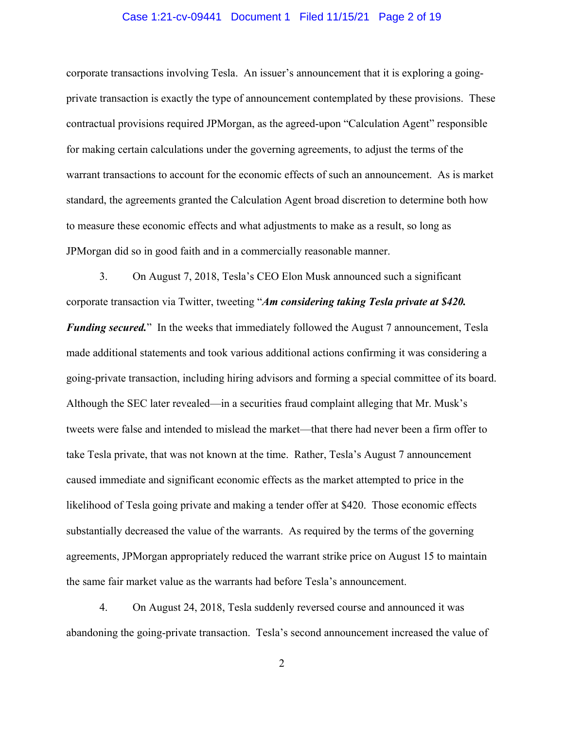#### Case 1:21-cv-09441 Document 1 Filed 11/15/21 Page 2 of 19

corporate transactions involving Tesla. An issuer's announcement that it is exploring a goingprivate transaction is exactly the type of announcement contemplated by these provisions. These contractual provisions required JPMorgan, as the agreed-upon "Calculation Agent" responsible for making certain calculations under the governing agreements, to adjust the terms of the warrant transactions to account for the economic effects of such an announcement. As is market standard, the agreements granted the Calculation Agent broad discretion to determine both how to measure these economic effects and what adjustments to make as a result, so long as JPMorgan did so in good faith and in a commercially reasonable manner.

3. On August 7, 2018, Tesla's CEO Elon Musk announced such a significant corporate transaction via Twitter, tweeting "*Am considering taking Tesla private at \$420. Funding secured.*" In the weeks that immediately followed the August 7 announcement, Tesla made additional statements and took various additional actions confirming it was considering a going-private transaction, including hiring advisors and forming a special committee of its board. Although the SEC later revealed—in a securities fraud complaint alleging that Mr. Musk's tweets were false and intended to mislead the market—that there had never been a firm offer to take Tesla private, that was not known at the time. Rather, Tesla's August 7 announcement caused immediate and significant economic effects as the market attempted to price in the likelihood of Tesla going private and making a tender offer at \$420. Those economic effects substantially decreased the value of the warrants. As required by the terms of the governing agreements, JPMorgan appropriately reduced the warrant strike price on August 15 to maintain the same fair market value as the warrants had before Tesla's announcement.

4. On August 24, 2018, Tesla suddenly reversed course and announced it was abandoning the going-private transaction. Tesla's second announcement increased the value of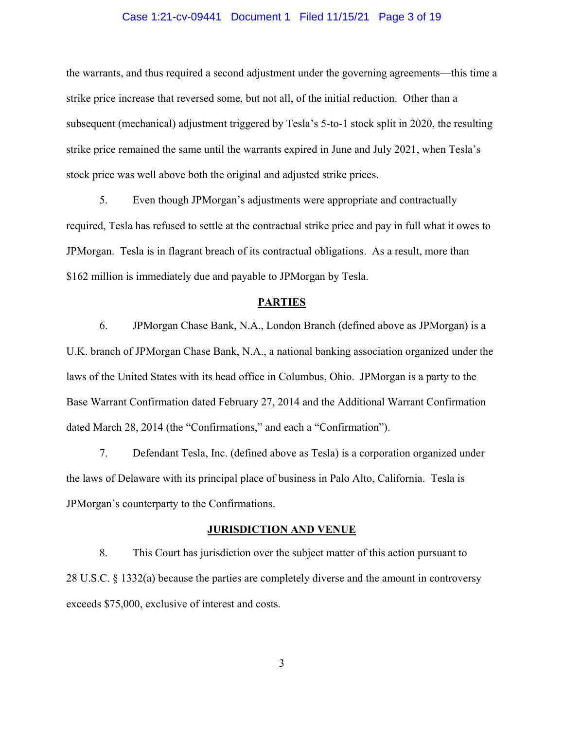#### Case 1:21-cv-09441 Document 1 Filed 11/15/21 Page 3 of 19

the warrants, and thus required a second adjustment under the governing agreements—this time a strike price increase that reversed some, but not all, of the initial reduction. Other than a subsequent (mechanical) adjustment triggered by Tesla's 5-to-1 stock split in 2020, the resulting strike price remained the same until the warrants expired in June and July 2021, when Tesla's stock price was well above both the original and adjusted strike prices.

5. Even though JPMorgan's adjustments were appropriate and contractually required, Tesla has refused to settle at the contractual strike price and pay in full what it owes to JPMorgan. Tesla is in flagrant breach of its contractual obligations. As a result, more than \$162 million is immediately due and payable to JPMorgan by Tesla.

#### **PARTIES**

6. JPMorgan Chase Bank, N.A., London Branch (defined above as JPMorgan) is a U.K. branch of JPMorgan Chase Bank, N.A., a national banking association organized under the laws of the United States with its head office in Columbus, Ohio. JPMorgan is a party to the Base Warrant Confirmation dated February 27, 2014 and the Additional Warrant Confirmation dated March 28, 2014 (the "Confirmations," and each a "Confirmation").

7. Defendant Tesla, Inc. (defined above as Tesla) is a corporation organized under the laws of Delaware with its principal place of business in Palo Alto, California. Tesla is JPMorgan's counterparty to the Confirmations.

#### **JURISDICTION AND VENUE**

8. This Court has jurisdiction over the subject matter of this action pursuant to 28 U.S.C. § 1332(a) because the parties are completely diverse and the amount in controversy exceeds \$75,000, exclusive of interest and costs.

3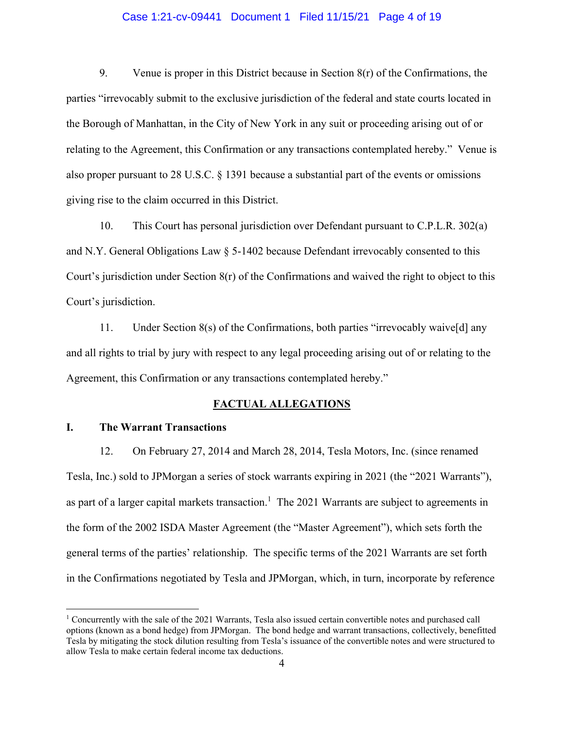#### Case 1:21-cv-09441 Document 1 Filed 11/15/21 Page 4 of 19

9. Venue is proper in this District because in Section 8(r) of the Confirmations, the parties "irrevocably submit to the exclusive jurisdiction of the federal and state courts located in the Borough of Manhattan, in the City of New York in any suit or proceeding arising out of or relating to the Agreement, this Confirmation or any transactions contemplated hereby." Venue is also proper pursuant to 28 U.S.C. § 1391 because a substantial part of the events or omissions giving rise to the claim occurred in this District.

10. This Court has personal jurisdiction over Defendant pursuant to C.P.L.R. 302(a) and N.Y. General Obligations Law § 5-1402 because Defendant irrevocably consented to this Court's jurisdiction under Section 8(r) of the Confirmations and waived the right to object to this Court's jurisdiction.

11. Under Section 8(s) of the Confirmations, both parties "irrevocably waive[d] any and all rights to trial by jury with respect to any legal proceeding arising out of or relating to the Agreement, this Confirmation or any transactions contemplated hereby."

#### **FACTUAL ALLEGATIONS**

### **I. The Warrant Transactions**

 $\overline{a}$ 

12. On February 27, 2014 and March 28, 2014, Tesla Motors, Inc. (since renamed Tesla, Inc.) sold to JPMorgan a series of stock warrants expiring in 2021 (the "2021 Warrants"), as part of a larger capital markets transaction.<sup>1</sup> The 2021 Warrants are subject to agreements in the form of the 2002 ISDA Master Agreement (the "Master Agreement"), which sets forth the general terms of the parties' relationship. The specific terms of the 2021 Warrants are set forth in the Confirmations negotiated by Tesla and JPMorgan, which, in turn, incorporate by reference

<sup>&</sup>lt;sup>1</sup> Concurrently with the sale of the 2021 Warrants, Tesla also issued certain convertible notes and purchased call options (known as a bond hedge) from JPMorgan. The bond hedge and warrant transactions, collectively, benefitted Tesla by mitigating the stock dilution resulting from Tesla's issuance of the convertible notes and were structured to allow Tesla to make certain federal income tax deductions.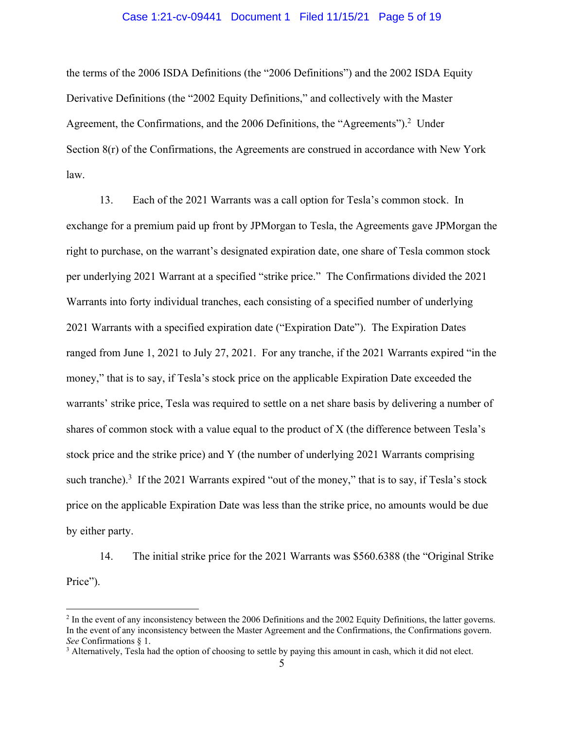#### Case 1:21-cv-09441 Document 1 Filed 11/15/21 Page 5 of 19

the terms of the 2006 ISDA Definitions (the "2006 Definitions") and the 2002 ISDA Equity Derivative Definitions (the "2002 Equity Definitions," and collectively with the Master Agreement, the Confirmations, and the 2006 Definitions, the "Agreements").<sup>2</sup> Under Section 8(r) of the Confirmations, the Agreements are construed in accordance with New York law.

13. Each of the 2021 Warrants was a call option for Tesla's common stock. In exchange for a premium paid up front by JPMorgan to Tesla, the Agreements gave JPMorgan the right to purchase, on the warrant's designated expiration date, one share of Tesla common stock per underlying 2021 Warrant at a specified "strike price." The Confirmations divided the 2021 Warrants into forty individual tranches, each consisting of a specified number of underlying 2021 Warrants with a specified expiration date ("Expiration Date"). The Expiration Dates ranged from June 1, 2021 to July 27, 2021. For any tranche, if the 2021 Warrants expired "in the money," that is to say, if Tesla's stock price on the applicable Expiration Date exceeded the warrants' strike price, Tesla was required to settle on a net share basis by delivering a number of shares of common stock with a value equal to the product of X (the difference between Tesla's stock price and the strike price) and Y (the number of underlying 2021 Warrants comprising such tranche).<sup>3</sup> If the 2021 Warrants expired "out of the money," that is to say, if Tesla's stock price on the applicable Expiration Date was less than the strike price, no amounts would be due by either party.

14. The initial strike price for the 2021 Warrants was \$560.6388 (the "Original Strike Price").

 $\overline{a}$ 

 $2 \text{ In the event of any inconsistency between the 2006 Definitions and the 2002 Equity Definitions, the latter governs.}$ In the event of any inconsistency between the Master Agreement and the Confirmations, the Confirmations govern. *See* Confirmations § 1.

<sup>&</sup>lt;sup>3</sup> Alternatively, Tesla had the option of choosing to settle by paying this amount in cash, which it did not elect.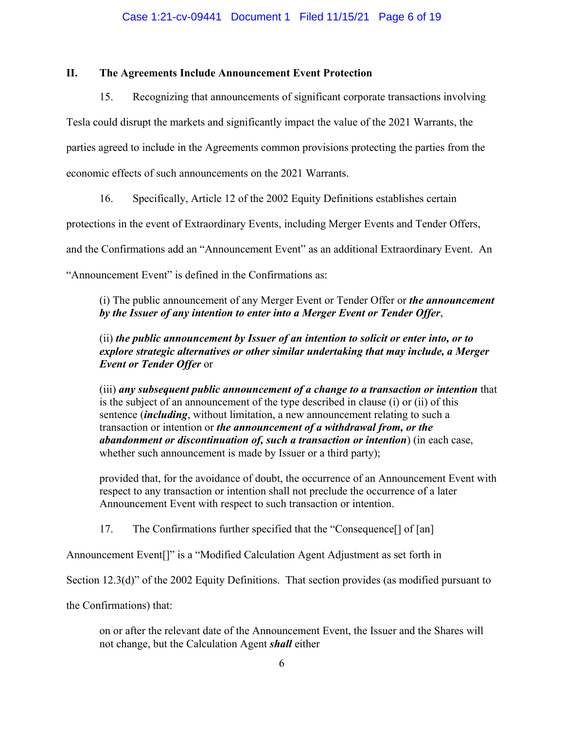## **II. The Agreements Include Announcement Event Protection**

15. Recognizing that announcements of significant corporate transactions involving Tesla could disrupt the markets and significantly impact the value of the 2021 Warrants, the parties agreed to include in the Agreements common provisions protecting the parties from the economic effects of such announcements on the 2021 Warrants.

16. Specifically, Article 12 of the 2002 Equity Definitions establishes certain

protections in the event of Extraordinary Events, including Merger Events and Tender Offers,

and the Confirmations add an "Announcement Event" as an additional Extraordinary Event. An

"Announcement Event" is defined in the Confirmations as:

(i) The public announcement of any Merger Event or Tender Offer or *the announcement by the Issuer of any intention to enter into a Merger Event or Tender Offer*,

(ii) *the public announcement by Issuer of an intention to solicit or enter into, or to explore strategic alternatives or other similar undertaking that may include, a Merger Event or Tender Offer* or

(iii) *any subsequent public announcement of a change to a transaction or intention* that is the subject of an announcement of the type described in clause (i) or (ii) of this sentence (*including*, without limitation, a new announcement relating to such a transaction or intention or *the announcement of a withdrawal from, or the abandonment or discontinuation of, such a transaction or intention*) (in each case, whether such announcement is made by Issuer or a third party);

provided that, for the avoidance of doubt, the occurrence of an Announcement Event with respect to any transaction or intention shall not preclude the occurrence of a later Announcement Event with respect to such transaction or intention.

17. The Confirmations further specified that the "Consequence[] of [an]

Announcement Event[]" is a "Modified Calculation Agent Adjustment as set forth in

Section 12.3(d)" of the 2002 Equity Definitions. That section provides (as modified pursuant to

the Confirmations) that:

on or after the relevant date of the Announcement Event, the Issuer and the Shares will not change, but the Calculation Agent *shall* either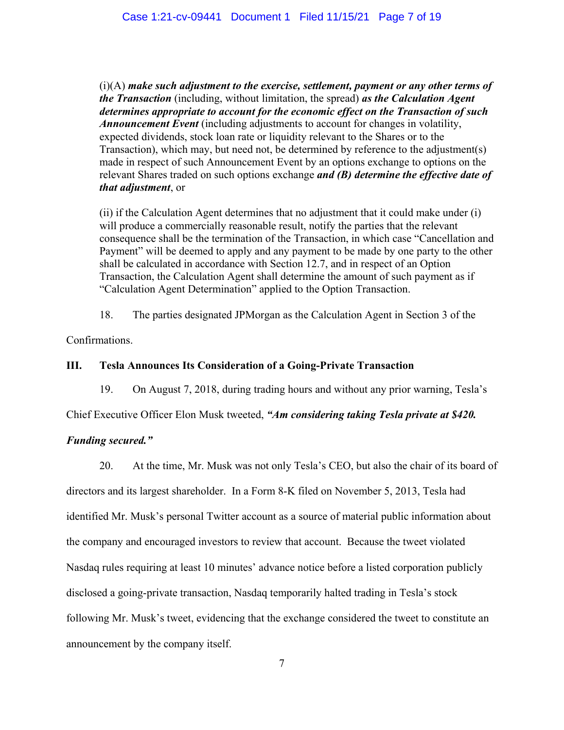(i)(A) *make such adjustment to the exercise, settlement, payment or any other terms of the Transaction* (including, without limitation, the spread) *as the Calculation Agent determines appropriate to account for the economic effect on the Transaction of such Announcement Event* (including adjustments to account for changes in volatility, expected dividends, stock loan rate or liquidity relevant to the Shares or to the Transaction), which may, but need not, be determined by reference to the adjustment(s) made in respect of such Announcement Event by an options exchange to options on the relevant Shares traded on such options exchange *and (B) determine the effective date of that adjustment*, or

(ii) if the Calculation Agent determines that no adjustment that it could make under (i) will produce a commercially reasonable result, notify the parties that the relevant consequence shall be the termination of the Transaction, in which case "Cancellation and Payment" will be deemed to apply and any payment to be made by one party to the other shall be calculated in accordance with Section 12.7, and in respect of an Option Transaction, the Calculation Agent shall determine the amount of such payment as if "Calculation Agent Determination" applied to the Option Transaction.

18. The parties designated JPMorgan as the Calculation Agent in Section 3 of the

Confirmations.

## **III. Tesla Announces Its Consideration of a Going-Private Transaction**

19. On August 7, 2018, during trading hours and without any prior warning, Tesla's

Chief Executive Officer Elon Musk tweeted, *"Am considering taking Tesla private at \$420.* 

# *Funding secured."*

20. At the time, Mr. Musk was not only Tesla's CEO, but also the chair of its board of

directors and its largest shareholder. In a Form 8-K filed on November 5, 2013, Tesla had identified Mr. Musk's personal Twitter account as a source of material public information about the company and encouraged investors to review that account. Because the tweet violated Nasdaq rules requiring at least 10 minutes' advance notice before a listed corporation publicly disclosed a going-private transaction, Nasdaq temporarily halted trading in Tesla's stock following Mr. Musk's tweet, evidencing that the exchange considered the tweet to constitute an announcement by the company itself.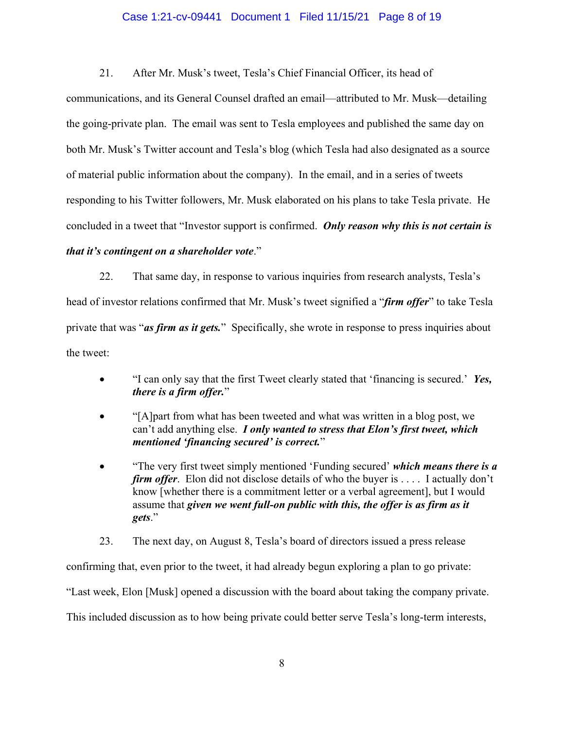#### Case 1:21-cv-09441 Document 1 Filed 11/15/21 Page 8 of 19

21. After Mr. Musk's tweet, Tesla's Chief Financial Officer, its head of

communications, and its General Counsel drafted an email—attributed to Mr. Musk—detailing the going-private plan. The email was sent to Tesla employees and published the same day on both Mr. Musk's Twitter account and Tesla's blog (which Tesla had also designated as a source of material public information about the company). In the email, and in a series of tweets responding to his Twitter followers, Mr. Musk elaborated on his plans to take Tesla private. He concluded in a tweet that "Investor support is confirmed. *Only reason why this is not certain is* 

## *that it's contingent on a shareholder vote*."

22. That same day, in response to various inquiries from research analysts, Tesla's head of investor relations confirmed that Mr. Musk's tweet signified a "*firm offer*" to take Tesla private that was "*as firm as it gets.*" Specifically, she wrote in response to press inquiries about the tweet:

- "I can only say that the first Tweet clearly stated that 'financing is secured.' *Yes, there is a firm offer.*"
- "[A]part from what has been tweeted and what was written in a blog post, we can't add anything else. *I only wanted to stress that Elon's first tweet, which mentioned 'financing secured' is correct.*"
- "The very first tweet simply mentioned 'Funding secured' *which means there is a firm offer*. Elon did not disclose details of who the buyer is . . . . I actually don't know [whether there is a commitment letter or a verbal agreement], but I would assume that *given we went full-on public with this, the offer is as firm as it gets*."
- 23. The next day, on August 8, Tesla's board of directors issued a press release

confirming that, even prior to the tweet, it had already begun exploring a plan to go private: "Last week, Elon [Musk] opened a discussion with the board about taking the company private. This included discussion as to how being private could better serve Tesla's long-term interests,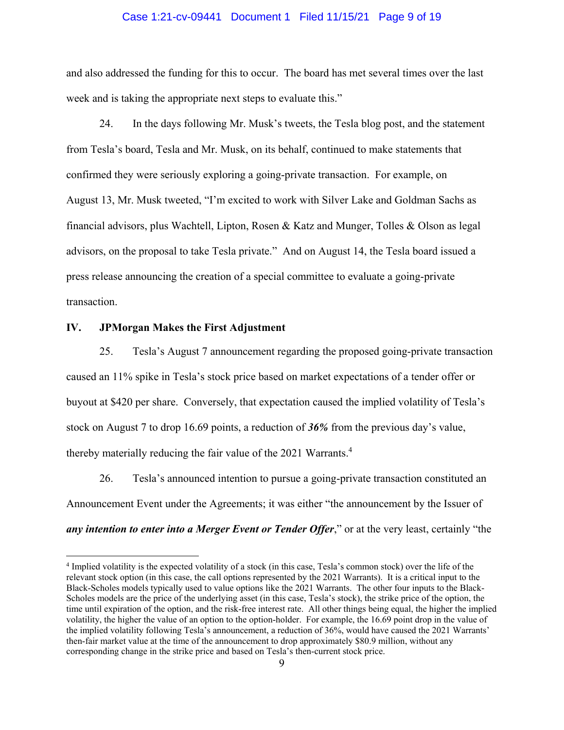#### Case 1:21-cv-09441 Document 1 Filed 11/15/21 Page 9 of 19

and also addressed the funding for this to occur. The board has met several times over the last week and is taking the appropriate next steps to evaluate this."

24. In the days following Mr. Musk's tweets, the Tesla blog post, and the statement from Tesla's board, Tesla and Mr. Musk, on its behalf, continued to make statements that confirmed they were seriously exploring a going-private transaction. For example, on August 13, Mr. Musk tweeted, "I'm excited to work with Silver Lake and Goldman Sachs as financial advisors, plus Wachtell, Lipton, Rosen & Katz and Munger, Tolles & Olson as legal advisors, on the proposal to take Tesla private." And on August 14, the Tesla board issued a press release announcing the creation of a special committee to evaluate a going-private transaction.

#### **IV. JPMorgan Makes the First Adjustment**

 $\overline{a}$ 

25. Tesla's August 7 announcement regarding the proposed going-private transaction caused an 11% spike in Tesla's stock price based on market expectations of a tender offer or buyout at \$420 per share. Conversely, that expectation caused the implied volatility of Tesla's stock on August 7 to drop 16.69 points, a reduction of *36%* from the previous day's value, thereby materially reducing the fair value of the 2021 Warrants.<sup>4</sup>

26. Tesla's announced intention to pursue a going-private transaction constituted an Announcement Event under the Agreements; it was either "the announcement by the Issuer of *any intention to enter into a Merger Event or Tender Offer*," or at the very least, certainly "the

<sup>&</sup>lt;sup>4</sup> Implied volatility is the expected volatility of a stock (in this case, Tesla's common stock) over the life of the relevant stock option (in this case, the call options represented by the 2021 Warrants). It is a critical input to the Black-Scholes models typically used to value options like the 2021 Warrants. The other four inputs to the Black-Scholes models are the price of the underlying asset (in this case, Tesla's stock), the strike price of the option, the time until expiration of the option, and the risk-free interest rate. All other things being equal, the higher the implied volatility, the higher the value of an option to the option-holder. For example, the 16.69 point drop in the value of the implied volatility following Tesla's announcement, a reduction of 36%, would have caused the 2021 Warrants' then-fair market value at the time of the announcement to drop approximately \$80.9 million, without any corresponding change in the strike price and based on Tesla's then-current stock price.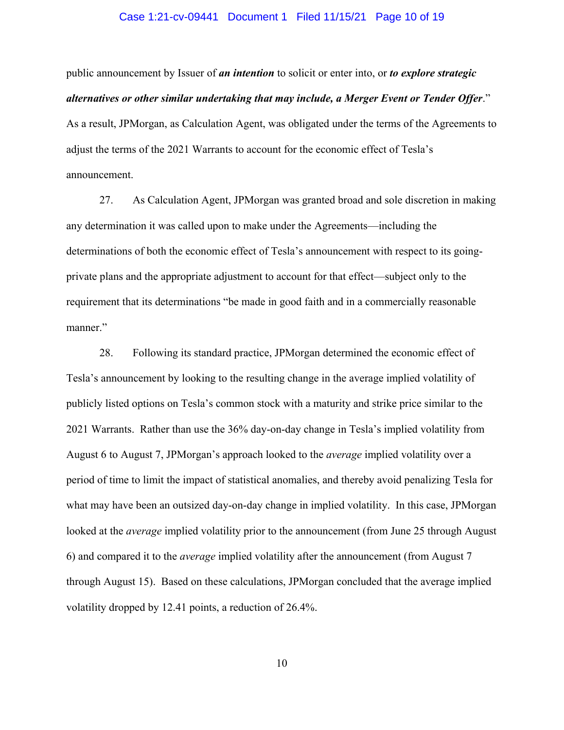#### Case 1:21-cv-09441 Document 1 Filed 11/15/21 Page 10 of 19

public announcement by Issuer of *an intention* to solicit or enter into, or *to explore strategic alternatives or other similar undertaking that may include, a Merger Event or Tender Offer*." As a result, JPMorgan, as Calculation Agent, was obligated under the terms of the Agreements to adjust the terms of the 2021 Warrants to account for the economic effect of Tesla's announcement.

27. As Calculation Agent, JPMorgan was granted broad and sole discretion in making any determination it was called upon to make under the Agreements—including the determinations of both the economic effect of Tesla's announcement with respect to its goingprivate plans and the appropriate adjustment to account for that effect—subject only to the requirement that its determinations "be made in good faith and in a commercially reasonable manner."

28. Following its standard practice, JPMorgan determined the economic effect of Tesla's announcement by looking to the resulting change in the average implied volatility of publicly listed options on Tesla's common stock with a maturity and strike price similar to the 2021 Warrants. Rather than use the 36% day-on-day change in Tesla's implied volatility from August 6 to August 7, JPMorgan's approach looked to the *average* implied volatility over a period of time to limit the impact of statistical anomalies, and thereby avoid penalizing Tesla for what may have been an outsized day-on-day change in implied volatility. In this case, JPMorgan looked at the *average* implied volatility prior to the announcement (from June 25 through August 6) and compared it to the *average* implied volatility after the announcement (from August 7 through August 15). Based on these calculations, JPMorgan concluded that the average implied volatility dropped by 12.41 points, a reduction of 26.4%.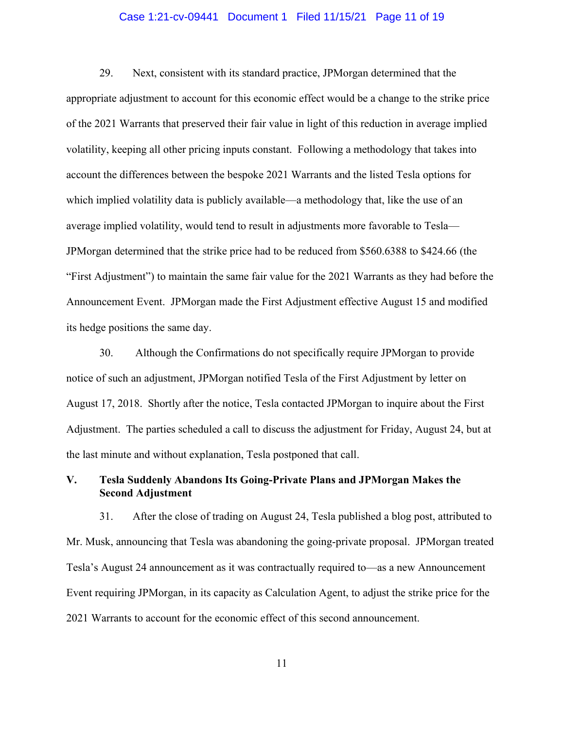#### Case 1:21-cv-09441 Document 1 Filed 11/15/21 Page 11 of 19

29. Next, consistent with its standard practice, JPMorgan determined that the appropriate adjustment to account for this economic effect would be a change to the strike price of the 2021 Warrants that preserved their fair value in light of this reduction in average implied volatility, keeping all other pricing inputs constant. Following a methodology that takes into account the differences between the bespoke 2021 Warrants and the listed Tesla options for which implied volatility data is publicly available—a methodology that, like the use of an average implied volatility, would tend to result in adjustments more favorable to Tesla— JPMorgan determined that the strike price had to be reduced from \$560.6388 to \$424.66 (the "First Adjustment") to maintain the same fair value for the 2021 Warrants as they had before the Announcement Event. JPMorgan made the First Adjustment effective August 15 and modified its hedge positions the same day.

30. Although the Confirmations do not specifically require JPMorgan to provide notice of such an adjustment, JPMorgan notified Tesla of the First Adjustment by letter on August 17, 2018. Shortly after the notice, Tesla contacted JPMorgan to inquire about the First Adjustment. The parties scheduled a call to discuss the adjustment for Friday, August 24, but at the last minute and without explanation, Tesla postponed that call.

# **V. Tesla Suddenly Abandons Its Going-Private Plans and JPMorgan Makes the Second Adjustment**

31. After the close of trading on August 24, Tesla published a blog post, attributed to Mr. Musk, announcing that Tesla was abandoning the going-private proposal. JPMorgan treated Tesla's August 24 announcement as it was contractually required to—as a new Announcement Event requiring JPMorgan, in its capacity as Calculation Agent, to adjust the strike price for the 2021 Warrants to account for the economic effect of this second announcement.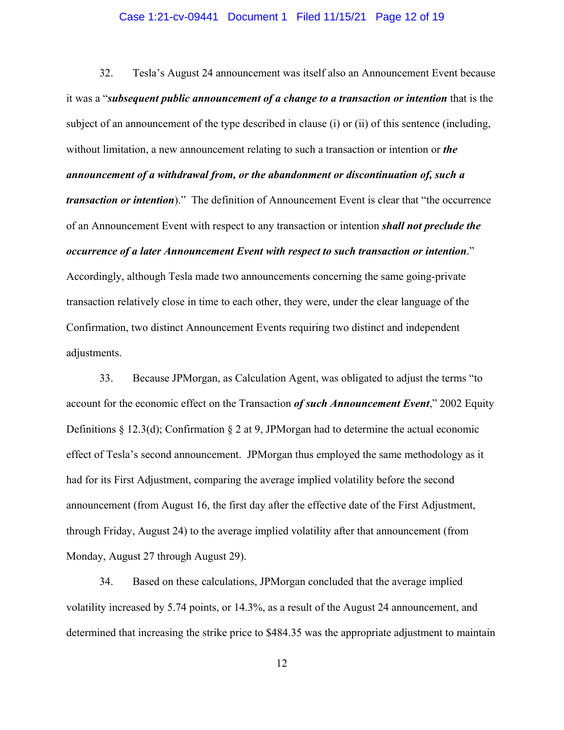#### Case 1:21-cv-09441 Document 1 Filed 11/15/21 Page 12 of 19

32. Tesla's August 24 announcement was itself also an Announcement Event because it was a "*subsequent public announcement of a change to a transaction or intention* that is the subject of an announcement of the type described in clause (i) or (ii) of this sentence (including, without limitation, a new announcement relating to such a transaction or intention or *the announcement of a withdrawal from, or the abandonment or discontinuation of, such a transaction or intention*)." The definition of Announcement Event is clear that "the occurrence of an Announcement Event with respect to any transaction or intention *shall not preclude the occurrence of a later Announcement Event with respect to such transaction or intention*." Accordingly, although Tesla made two announcements concerning the same going-private transaction relatively close in time to each other, they were, under the clear language of the Confirmation, two distinct Announcement Events requiring two distinct and independent adjustments.

33. Because JPMorgan, as Calculation Agent, was obligated to adjust the terms "to account for the economic effect on the Transaction *of such Announcement Event*," 2002 Equity Definitions  $\S 12.3(d)$ ; Confirmation  $\S 2$  at 9, JPMorgan had to determine the actual economic effect of Tesla's second announcement. JPMorgan thus employed the same methodology as it had for its First Adjustment, comparing the average implied volatility before the second announcement (from August 16, the first day after the effective date of the First Adjustment, through Friday, August 24) to the average implied volatility after that announcement (from Monday, August 27 through August 29).

34. Based on these calculations, JPMorgan concluded that the average implied volatility increased by 5.74 points, or 14.3%, as a result of the August 24 announcement, and determined that increasing the strike price to \$484.35 was the appropriate adjustment to maintain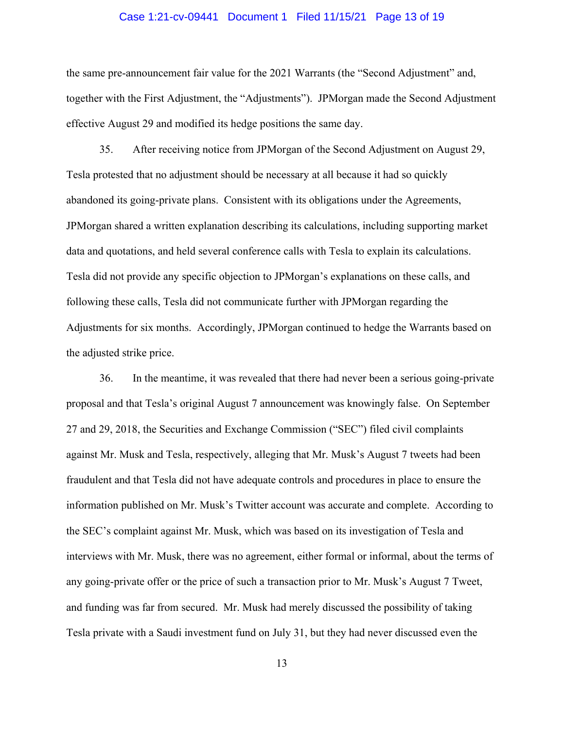#### Case 1:21-cv-09441 Document 1 Filed 11/15/21 Page 13 of 19

the same pre-announcement fair value for the 2021 Warrants (the "Second Adjustment" and, together with the First Adjustment, the "Adjustments"). JPMorgan made the Second Adjustment effective August 29 and modified its hedge positions the same day.

35. After receiving notice from JPMorgan of the Second Adjustment on August 29, Tesla protested that no adjustment should be necessary at all because it had so quickly abandoned its going-private plans. Consistent with its obligations under the Agreements, JPMorgan shared a written explanation describing its calculations, including supporting market data and quotations, and held several conference calls with Tesla to explain its calculations. Tesla did not provide any specific objection to JPMorgan's explanations on these calls, and following these calls, Tesla did not communicate further with JPMorgan regarding the Adjustments for six months. Accordingly, JPMorgan continued to hedge the Warrants based on the adjusted strike price.

36. In the meantime, it was revealed that there had never been a serious going-private proposal and that Tesla's original August 7 announcement was knowingly false. On September 27 and 29, 2018, the Securities and Exchange Commission ("SEC") filed civil complaints against Mr. Musk and Tesla, respectively, alleging that Mr. Musk's August 7 tweets had been fraudulent and that Tesla did not have adequate controls and procedures in place to ensure the information published on Mr. Musk's Twitter account was accurate and complete. According to the SEC's complaint against Mr. Musk, which was based on its investigation of Tesla and interviews with Mr. Musk, there was no agreement, either formal or informal, about the terms of any going-private offer or the price of such a transaction prior to Mr. Musk's August 7 Tweet, and funding was far from secured. Mr. Musk had merely discussed the possibility of taking Tesla private with a Saudi investment fund on July 31, but they had never discussed even the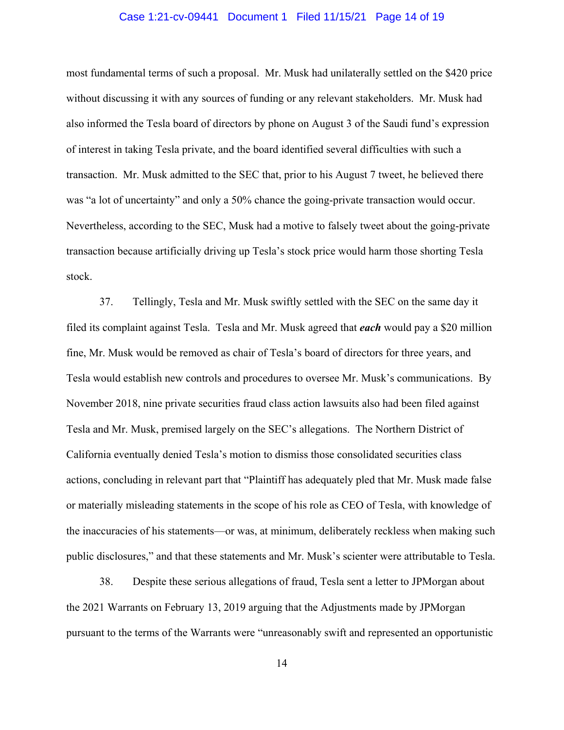#### Case 1:21-cv-09441 Document 1 Filed 11/15/21 Page 14 of 19

most fundamental terms of such a proposal. Mr. Musk had unilaterally settled on the \$420 price without discussing it with any sources of funding or any relevant stakeholders. Mr. Musk had also informed the Tesla board of directors by phone on August 3 of the Saudi fund's expression of interest in taking Tesla private, and the board identified several difficulties with such a transaction. Mr. Musk admitted to the SEC that, prior to his August 7 tweet, he believed there was "a lot of uncertainty" and only a 50% chance the going-private transaction would occur. Nevertheless, according to the SEC, Musk had a motive to falsely tweet about the going-private transaction because artificially driving up Tesla's stock price would harm those shorting Tesla stock.

37. Tellingly, Tesla and Mr. Musk swiftly settled with the SEC on the same day it filed its complaint against Tesla. Tesla and Mr. Musk agreed that *each* would pay a \$20 million fine, Mr. Musk would be removed as chair of Tesla's board of directors for three years, and Tesla would establish new controls and procedures to oversee Mr. Musk's communications. By November 2018, nine private securities fraud class action lawsuits also had been filed against Tesla and Mr. Musk, premised largely on the SEC's allegations. The Northern District of California eventually denied Tesla's motion to dismiss those consolidated securities class actions, concluding in relevant part that "Plaintiff has adequately pled that Mr. Musk made false or materially misleading statements in the scope of his role as CEO of Tesla, with knowledge of the inaccuracies of his statements—or was, at minimum, deliberately reckless when making such public disclosures," and that these statements and Mr. Musk's scienter were attributable to Tesla.

38. Despite these serious allegations of fraud, Tesla sent a letter to JPMorgan about the 2021 Warrants on February 13, 2019 arguing that the Adjustments made by JPMorgan pursuant to the terms of the Warrants were "unreasonably swift and represented an opportunistic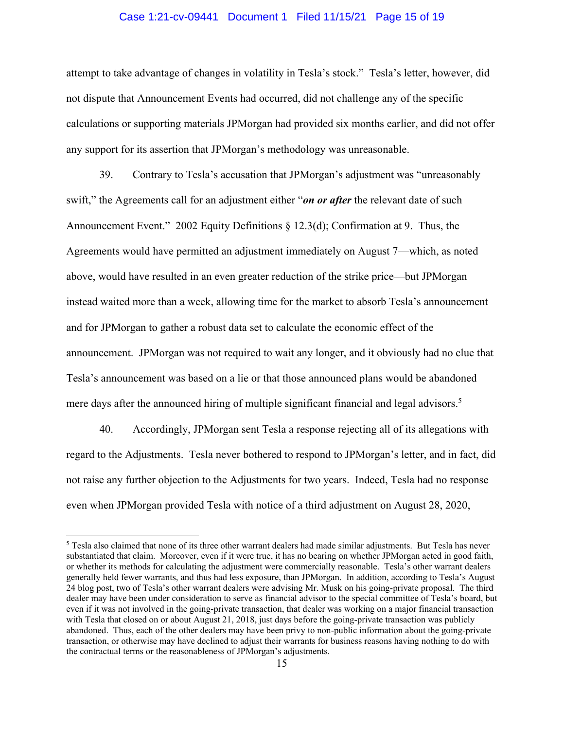#### Case 1:21-cv-09441 Document 1 Filed 11/15/21 Page 15 of 19

attempt to take advantage of changes in volatility in Tesla's stock." Tesla's letter, however, did not dispute that Announcement Events had occurred, did not challenge any of the specific calculations or supporting materials JPMorgan had provided six months earlier, and did not offer any support for its assertion that JPMorgan's methodology was unreasonable.

39. Contrary to Tesla's accusation that JPMorgan's adjustment was "unreasonably swift," the Agreements call for an adjustment either "*on or after* the relevant date of such Announcement Event." 2002 Equity Definitions  $\S 12.3(d)$ ; Confirmation at 9. Thus, the Agreements would have permitted an adjustment immediately on August 7—which, as noted above, would have resulted in an even greater reduction of the strike price—but JPMorgan instead waited more than a week, allowing time for the market to absorb Tesla's announcement and for JPMorgan to gather a robust data set to calculate the economic effect of the announcement. JPMorgan was not required to wait any longer, and it obviously had no clue that Tesla's announcement was based on a lie or that those announced plans would be abandoned mere days after the announced hiring of multiple significant financial and legal advisors.<sup>5</sup>

40. Accordingly, JPMorgan sent Tesla a response rejecting all of its allegations with regard to the Adjustments. Tesla never bothered to respond to JPMorgan's letter, and in fact, did not raise any further objection to the Adjustments for two years. Indeed, Tesla had no response even when JPMorgan provided Tesla with notice of a third adjustment on August 28, 2020,

 $\overline{a}$ 

<sup>5</sup> Tesla also claimed that none of its three other warrant dealers had made similar adjustments. But Tesla has never substantiated that claim. Moreover, even if it were true, it has no bearing on whether JPMorgan acted in good faith, or whether its methods for calculating the adjustment were commercially reasonable. Tesla's other warrant dealers generally held fewer warrants, and thus had less exposure, than JPMorgan. In addition, according to Tesla's August 24 blog post, two of Tesla's other warrant dealers were advising Mr. Musk on his going-private proposal. The third dealer may have been under consideration to serve as financial advisor to the special committee of Tesla's board, but even if it was not involved in the going-private transaction, that dealer was working on a major financial transaction with Tesla that closed on or about August 21, 2018, just days before the going-private transaction was publicly abandoned. Thus, each of the other dealers may have been privy to non-public information about the going-private transaction, or otherwise may have declined to adjust their warrants for business reasons having nothing to do with the contractual terms or the reasonableness of JPMorgan's adjustments.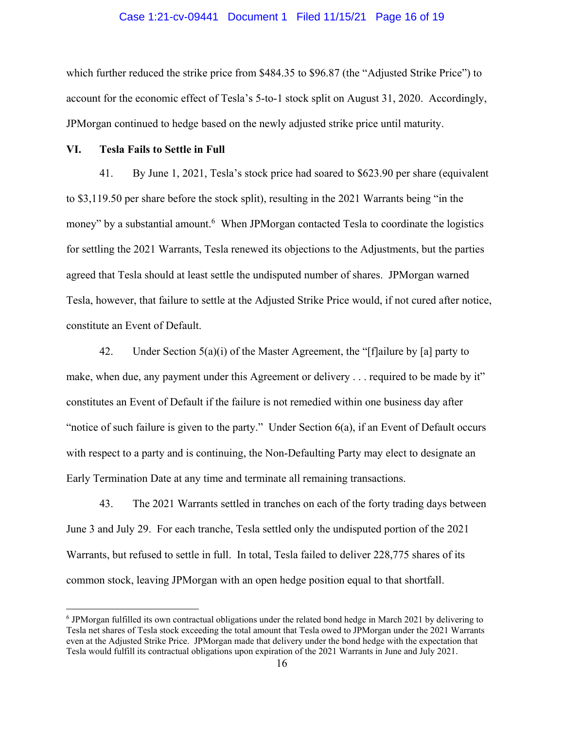#### Case 1:21-cv-09441 Document 1 Filed 11/15/21 Page 16 of 19

which further reduced the strike price from \$484.35 to \$96.87 (the "Adjusted Strike Price") to account for the economic effect of Tesla's 5-to-1 stock split on August 31, 2020. Accordingly, JPMorgan continued to hedge based on the newly adjusted strike price until maturity.

### **VI. Tesla Fails to Settle in Full**

 $\overline{a}$ 

41. By June 1, 2021, Tesla's stock price had soared to \$623.90 per share (equivalent to \$3,119.50 per share before the stock split), resulting in the 2021 Warrants being "in the money" by a substantial amount.<sup>6</sup> When JPMorgan contacted Tesla to coordinate the logistics for settling the 2021 Warrants, Tesla renewed its objections to the Adjustments, but the parties agreed that Tesla should at least settle the undisputed number of shares. JPMorgan warned Tesla, however, that failure to settle at the Adjusted Strike Price would, if not cured after notice, constitute an Event of Default.

42. Under Section 5(a)(i) of the Master Agreement, the "[f]ailure by [a] party to make, when due, any payment under this Agreement or delivery . . . required to be made by it" constitutes an Event of Default if the failure is not remedied within one business day after "notice of such failure is given to the party." Under Section 6(a), if an Event of Default occurs with respect to a party and is continuing, the Non-Defaulting Party may elect to designate an Early Termination Date at any time and terminate all remaining transactions.

43. The 2021 Warrants settled in tranches on each of the forty trading days between June 3 and July 29. For each tranche, Tesla settled only the undisputed portion of the 2021 Warrants, but refused to settle in full. In total, Tesla failed to deliver 228,775 shares of its common stock, leaving JPMorgan with an open hedge position equal to that shortfall.

<sup>&</sup>lt;sup>6</sup> JPMorgan fulfilled its own contractual obligations under the related bond hedge in March 2021 by delivering to Tesla net shares of Tesla stock exceeding the total amount that Tesla owed to JPMorgan under the 2021 Warrants even at the Adjusted Strike Price. JPMorgan made that delivery under the bond hedge with the expectation that Tesla would fulfill its contractual obligations upon expiration of the 2021 Warrants in June and July 2021.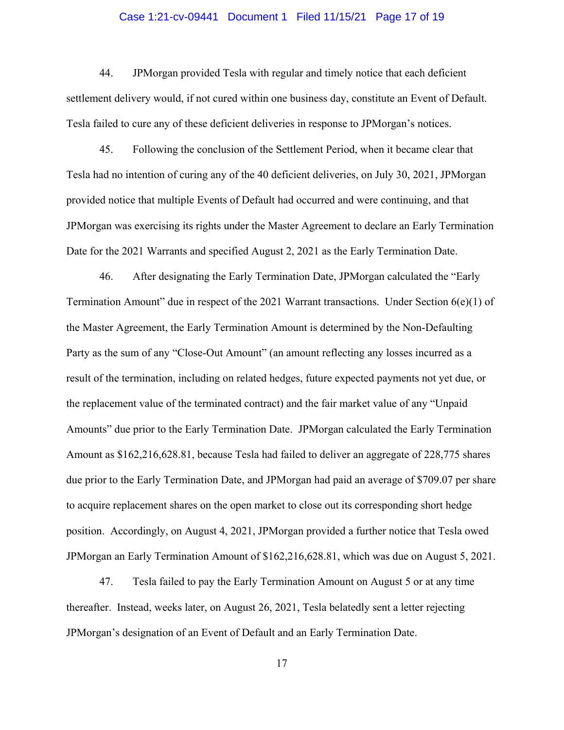#### Case 1:21-cv-09441 Document 1 Filed 11/15/21 Page 17 of 19

44. JPMorgan provided Tesla with regular and timely notice that each deficient settlement delivery would, if not cured within one business day, constitute an Event of Default. Tesla failed to cure any of these deficient deliveries in response to JPMorgan's notices.

45. Following the conclusion of the Settlement Period, when it became clear that Tesla had no intention of curing any of the 40 deficient deliveries, on July 30, 2021, JPMorgan provided notice that multiple Events of Default had occurred and were continuing, and that JPMorgan was exercising its rights under the Master Agreement to declare an Early Termination Date for the 2021 Warrants and specified August 2, 2021 as the Early Termination Date.

46. After designating the Early Termination Date, JPMorgan calculated the "Early Termination Amount" due in respect of the 2021 Warrant transactions. Under Section 6(e)(1) of the Master Agreement, the Early Termination Amount is determined by the Non-Defaulting Party as the sum of any "Close-Out Amount" (an amount reflecting any losses incurred as a result of the termination, including on related hedges, future expected payments not yet due, or the replacement value of the terminated contract) and the fair market value of any "Unpaid Amounts" due prior to the Early Termination Date. JPMorgan calculated the Early Termination Amount as \$162,216,628.81, because Tesla had failed to deliver an aggregate of 228,775 shares due prior to the Early Termination Date, and JPMorgan had paid an average of \$709.07 per share to acquire replacement shares on the open market to close out its corresponding short hedge position. Accordingly, on August 4, 2021, JPMorgan provided a further notice that Tesla owed JPMorgan an Early Termination Amount of \$162,216,628.81, which was due on August 5, 2021.

47. Tesla failed to pay the Early Termination Amount on August 5 or at any time thereafter. Instead, weeks later, on August 26, 2021, Tesla belatedly sent a letter rejecting JPMorgan's designation of an Event of Default and an Early Termination Date.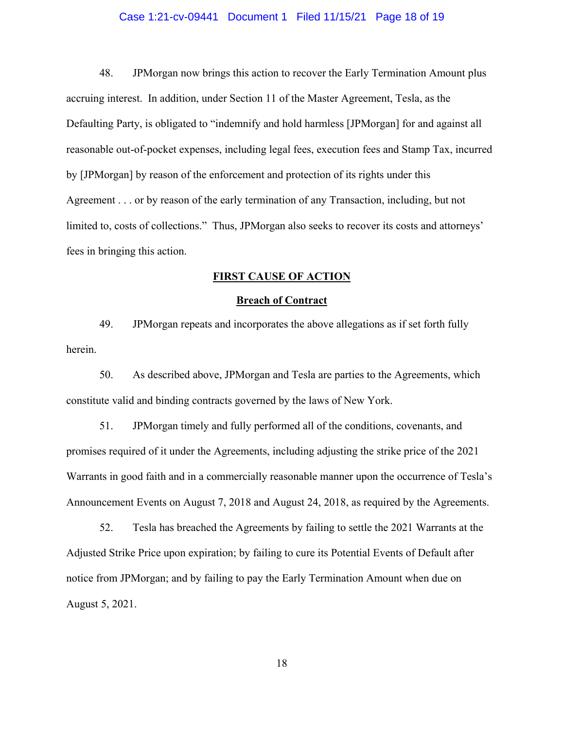#### Case 1:21-cv-09441 Document 1 Filed 11/15/21 Page 18 of 19

48. JPMorgan now brings this action to recover the Early Termination Amount plus accruing interest. In addition, under Section 11 of the Master Agreement, Tesla, as the Defaulting Party, is obligated to "indemnify and hold harmless [JPMorgan] for and against all reasonable out-of-pocket expenses, including legal fees, execution fees and Stamp Tax, incurred by [JPMorgan] by reason of the enforcement and protection of its rights under this Agreement . . . or by reason of the early termination of any Transaction, including, but not limited to, costs of collections." Thus, JPMorgan also seeks to recover its costs and attorneys' fees in bringing this action.

### **FIRST CAUSE OF ACTION**

### **Breach of Contract**

49. JPMorgan repeats and incorporates the above allegations as if set forth fully herein.

50. As described above, JPMorgan and Tesla are parties to the Agreements, which constitute valid and binding contracts governed by the laws of New York.

51. JPMorgan timely and fully performed all of the conditions, covenants, and promises required of it under the Agreements, including adjusting the strike price of the 2021 Warrants in good faith and in a commercially reasonable manner upon the occurrence of Tesla's Announcement Events on August 7, 2018 and August 24, 2018, as required by the Agreements.

52. Tesla has breached the Agreements by failing to settle the 2021 Warrants at the Adjusted Strike Price upon expiration; by failing to cure its Potential Events of Default after notice from JPMorgan; and by failing to pay the Early Termination Amount when due on August 5, 2021.

18